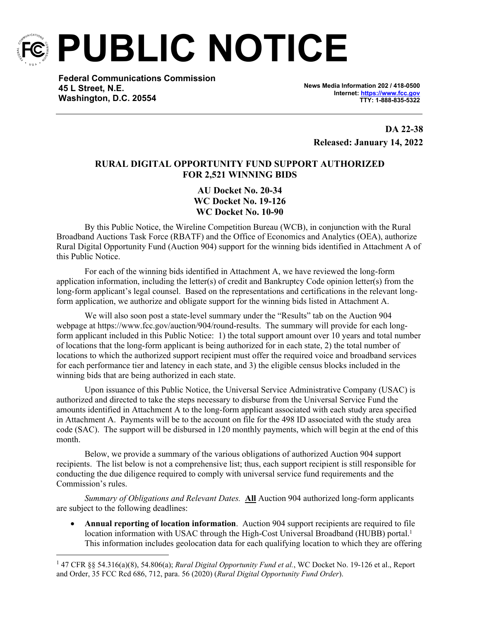

**PUBLIC NOTICE**

**Federal Communications Commission 45 L Street, N.E. Washington, D.C. 20554**

**News Media Information 202 / 418-0500 Internet:<https://www.fcc.gov> TTY: 1-888-835-5322**

**DA 22-38 Released: January 14, 2022**

# **RURAL DIGITAL OPPORTUNITY FUND SUPPORT AUTHORIZED FOR 2,521 WINNING BIDS**

**AU Docket No. 20-34 WC Docket No. 19-126 WC Docket No. 10-90**

By this Public Notice, the Wireline Competition Bureau (WCB), in conjunction with the Rural Broadband Auctions Task Force (RBATF) and the Office of Economics and Analytics (OEA), authorize Rural Digital Opportunity Fund (Auction 904) support for the winning bids identified in Attachment A of this Public Notice.

For each of the winning bids identified in Attachment A, we have reviewed the long-form application information, including the letter(s) of credit and Bankruptcy Code opinion letter(s) from the long-form applicant's legal counsel. Based on the representations and certifications in the relevant longform application, we authorize and obligate support for the winning bids listed in Attachment A.

We will also soon post a state-level summary under the "Results" tab on the Auction 904 webpage at https://www.fcc.gov/auction/904/round-results. The summary will provide for each longform applicant included in this Public Notice: 1) the total support amount over 10 years and total number of locations that the long-form applicant is being authorized for in each state, 2) the total number of locations to which the authorized support recipient must offer the required voice and broadband services for each performance tier and latency in each state, and 3) the eligible census blocks included in the winning bids that are being authorized in each state.

Upon issuance of this Public Notice, the Universal Service Administrative Company (USAC) is authorized and directed to take the steps necessary to disburse from the Universal Service Fund the amounts identified in Attachment A to the long-form applicant associated with each study area specified in Attachment A. Payments will be to the account on file for the 498 ID associated with the study area code (SAC). The support will be disbursed in 120 monthly payments, which will begin at the end of this month.

Below, we provide a summary of the various obligations of authorized Auction 904 support recipients. The list below is not a comprehensive list; thus, each support recipient is still responsible for conducting the due diligence required to comply with universal service fund requirements and the Commission's rules.

*Summary of Obligations and Relevant Dates.* **All** Auction 904 authorized long-form applicants are subject to the following deadlines:

 **Annual reporting of location information**. Auction 904 support recipients are required to file location information with USAC through the High-Cost Universal Broadband (HUBB) portal.<sup>1</sup> This information includes geolocation data for each qualifying location to which they are offering

<sup>1</sup> 47 CFR §§ 54.316(a)(8), 54.806(a); *Rural Digital Opportunity Fund et al.*, WC Docket No. 19-126 et al., Report and Order, 35 FCC Rcd 686, 712, para. 56 (2020) (*Rural Digital Opportunity Fund Order*).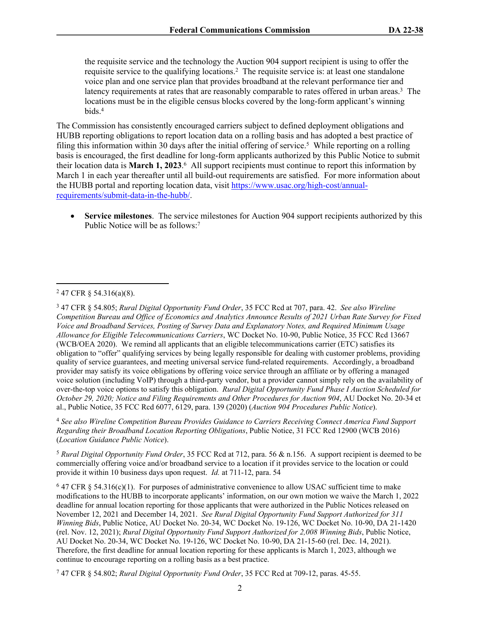the requisite service and the technology the Auction 904 support recipient is using to offer the requisite service to the qualifying locations.<sup>2</sup> The requisite service is: at least one standalone voice plan and one service plan that provides broadband at the relevant performance tier and latency requirements at rates that are reasonably comparable to rates offered in urban areas.<sup>3</sup> The locations must be in the eligible census blocks covered by the long-form applicant's winning bids.<sup>4</sup>

The Commission has consistently encouraged carriers subject to defined deployment obligations and HUBB reporting obligations to report location data on a rolling basis and has adopted a best practice of filing this information within 30 days after the initial offering of service.<sup>5</sup> While reporting on a rolling basis is encouraged, the first deadline for long-form applicants authorized by this Public Notice to submit their location data is **March 1, 2023**. 6 All support recipients must continue to report this information by March 1 in each year thereafter until all build-out requirements are satisfied. For more information about the HUBB portal and reporting location data, visit [https://www.usac.org/high-cost/annual](https://www.usac.org/high-cost/annual-requirements/submit-data-in-the-hubb/)[requirements/submit-data-in-the-hubb/](https://www.usac.org/high-cost/annual-requirements/submit-data-in-the-hubb/).

 **Service milestones**. The service milestones for Auction 904 support recipients authorized by this Public Notice will be as follows:<sup>7</sup>

<sup>4</sup> *See also Wireline Competition Bureau Provides Guidance to Carriers Receiving Connect America Fund Support Regarding their Broadband Location Reporting Obligations*, Public Notice, 31 FCC Rcd 12900 (WCB 2016) (*Location Guidance Public Notice*).

<sup>5</sup> *Rural Digital Opportunity Fund Order*, 35 FCC Rcd at 712, para. 56 & n.156. A support recipient is deemed to be commercially offering voice and/or broadband service to a location if it provides service to the location or could provide it within 10 business days upon request. *Id.* at 711-12, para. 54

 $6$  47 CFR § 54.316(c)(1). For purposes of administrative convenience to allow USAC sufficient time to make modifications to the HUBB to incorporate applicants' information, on our own motion we waive the March 1, 2022 deadline for annual location reporting for those applicants that were authorized in the Public Notices released on November 12, 2021 and December 14, 2021. *See Rural Digital Opportunity Fund Support Authorized for 311 Winning Bids*, Public Notice, AU Docket No. 20-34, WC Docket No. 19-126, WC Docket No. 10-90, DA 21-1420 (rel. Nov. 12, 2021); *Rural Digital Opportunity Fund Support Authorized for 2,008 Winning Bids*, Public Notice, AU Docket No. 20-34, WC Docket No. 19-126, WC Docket No. 10-90, DA 21-15-60 (rel. Dec. 14, 2021). Therefore, the first deadline for annual location reporting for these applicants is March 1, 2023, although we continue to encourage reporting on a rolling basis as a best practice.

7 47 CFR § 54.802; *Rural Digital Opportunity Fund Order*, 35 FCC Rcd at 709-12, paras. 45-55.

 $247$  CFR § 54.316(a)(8).

<sup>3</sup> 47 CFR § 54.805; *Rural Digital Opportunity Fund Order*, 35 FCC Rcd at 707, para. 42. *See also Wireline Competition Bureau and Office of Economics and Analytics Announce Results of 2021 Urban Rate Survey for Fixed Voice and Broadband Services, Posting of Survey Data and Explanatory Notes, and Required Minimum Usage Allowance for Eligible Telecommunications Carriers*, WC Docket No. 10-90, Public Notice, 35 FCC Rcd 13667 (WCB/OEA 2020). We remind all applicants that an eligible telecommunications carrier (ETC) satisfies its obligation to "offer" qualifying services by being legally responsible for dealing with customer problems, providing quality of service guarantees, and meeting universal service fund-related requirements. Accordingly, a broadband provider may satisfy its voice obligations by offering voice service through an affiliate or by offering a managed voice solution (including VoIP) through a third-party vendor, but a provider cannot simply rely on the availability of over-the-top voice options to satisfy this obligation. *Rural Digital Opportunity Fund Phase I Auction Scheduled for October 29, 2020; Notice and Filing Requirements and Other Procedures for Auction 904*, AU Docket No. 20-34 et al., Public Notice, 35 FCC Rcd 6077, 6129, para. 139 (2020) (*Auction 904 Procedures Public Notice*).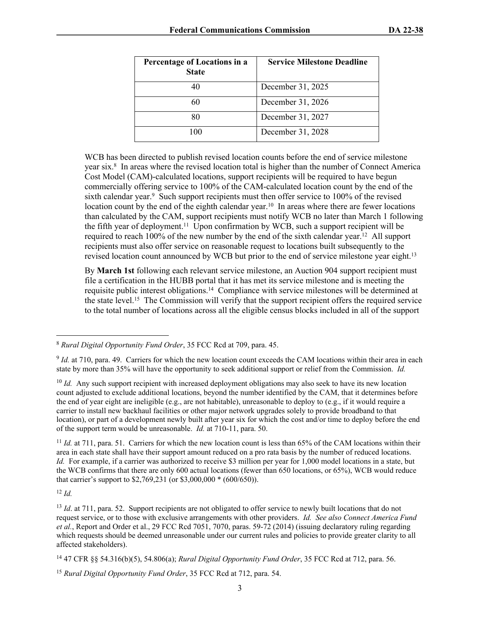| Percentage of Locations in a<br><b>State</b> | <b>Service Milestone Deadline</b> |
|----------------------------------------------|-----------------------------------|
|                                              | December 31, 2025                 |
|                                              | December 31, 2026                 |
|                                              | December 31, 2027                 |
| 100                                          | December 31, 2028                 |

WCB has been directed to publish revised location counts before the end of service milestone year six.<sup>8</sup> In areas where the revised location total is higher than the number of Connect America Cost Model (CAM)-calculated locations, support recipients will be required to have begun commercially offering service to 100% of the CAM-calculated location count by the end of the sixth calendar year.<sup>9</sup> Such support recipients must then offer service to 100% of the revised location count by the end of the eighth calendar year.<sup>10</sup> In areas where there are fewer locations than calculated by the CAM, support recipients must notify WCB no later than March 1 following the fifth year of deployment.<sup>11</sup> Upon confirmation by WCB, such a support recipient will be required to reach 100% of the new number by the end of the sixth calendar year.<sup>12</sup> All support recipients must also offer service on reasonable request to locations built subsequently to the revised location count announced by WCB but prior to the end of service milestone year eight.<sup>13</sup>

By **March 1st** following each relevant service milestone, an Auction 904 support recipient must file a certification in the HUBB portal that it has met its service milestone and is meeting the requisite public interest obligations.<sup>14</sup> Compliance with service milestones will be determined at the state level.<sup>15</sup> The Commission will verify that the support recipient offers the required service to the total number of locations across all the eligible census blocks included in all of the support

<sup>10</sup> *Id.* Any such support recipient with increased deployment obligations may also seek to have its new location count adjusted to exclude additional locations, beyond the number identified by the CAM, that it determines before the end of year eight are ineligible (e.g., are not habitable), unreasonable to deploy to (e.g., if it would require a carrier to install new backhaul facilities or other major network upgrades solely to provide broadband to that location), or part of a development newly built after year six for which the cost and/or time to deploy before the end of the support term would be unreasonable. *Id.* at 710-11, para. 50.

<sup>11</sup> *Id.* at 711, para. 51. Carriers for which the new location count is less than 65% of the CAM locations within their area in each state shall have their support amount reduced on a pro rata basis by the number of reduced locations. *Id.* For example, if a carrier was authorized to receive \$3 million per year for 1,000 model locations in a state, but the WCB confirms that there are only 600 actual locations (fewer than 650 locations, or 65%), WCB would reduce that carrier's support to \$2,769,231 (or \$3,000,000 \* (600/650)).

<sup>12</sup> *Id.*

<sup>13</sup> *Id.* at 711, para. 52. Support recipients are not obligated to offer service to newly built locations that do not request service, or to those with exclusive arrangements with other providers. *Id. See also Connect America Fund et al.*, Report and Order et al., 29 FCC Rcd 7051, 7070, paras. 59-72 (2014) (issuing declaratory ruling regarding which requests should be deemed unreasonable under our current rules and policies to provide greater clarity to all affected stakeholders).

<sup>8</sup> *Rural Digital Opportunity Fund Order*, 35 FCC Rcd at 709, para. 45.

<sup>&</sup>lt;sup>9</sup> *Id.* at 710, para. 49. Carriers for which the new location count exceeds the CAM locations within their area in each state by more than 35% will have the opportunity to seek additional support or relief from the Commission. *Id.*

<sup>14</sup> 47 CFR §§ 54.316(b)(5), 54.806(a); *Rural Digital Opportunity Fund Order*, 35 FCC Rcd at 712, para. 56.

<sup>15</sup> *Rural Digital Opportunity Fund Order*, 35 FCC Rcd at 712, para. 54.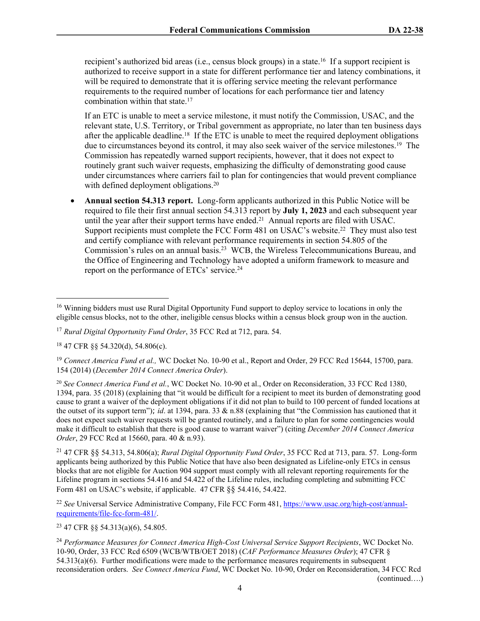recipient's authorized bid areas (i.e., census block groups) in a state.<sup>16</sup> If a support recipient is authorized to receive support in a state for different performance tier and latency combinations, it will be required to demonstrate that it is offering service meeting the relevant performance requirements to the required number of locations for each performance tier and latency combination within that state.<sup>17</sup>

If an ETC is unable to meet a service milestone, it must notify the Commission, USAC, and the relevant state, U.S. Territory, or Tribal government as appropriate, no later than ten business days after the applicable deadline.<sup>18</sup> If the ETC is unable to meet the required deployment obligations due to circumstances beyond its control, it may also seek waiver of the service milestones.<sup>19</sup> The Commission has repeatedly warned support recipients, however, that it does not expect to routinely grant such waiver requests, emphasizing the difficulty of demonstrating good cause under circumstances where carriers fail to plan for contingencies that would prevent compliance with defined deployment obligations.<sup>20</sup>

 **Annual section 54.313 report.** Long-form applicants authorized in this Public Notice will be required to file their first annual section 54.313 report by **July 1, 2023** and each subsequent year until the year after their support terms have ended.<sup>21</sup> Annual reports are filed with USAC. Support recipients must complete the FCC Form 481 on USAC's website.<sup>22</sup> They must also test and certify compliance with relevant performance requirements in section 54.805 of the Commission's rules on an annual basis.<sup>23</sup> WCB, the Wireless Telecommunications Bureau, and the Office of Engineering and Technology have adopted a uniform framework to measure and report on the performance of ETCs' service.<sup>24</sup>

<sup>&</sup>lt;sup>16</sup> Winning bidders must use Rural Digital Opportunity Fund support to deploy service to locations in only the eligible census blocks, not to the other, ineligible census blocks within a census block group won in the auction.

<sup>17</sup> *Rural Digital Opportunity Fund Order*, 35 FCC Rcd at 712, para. 54.

<sup>18</sup> 47 CFR §§ 54.320(d), 54.806(c).

<sup>19</sup> *Connect America Fund et al.,* WC Docket No. 10-90 et al., Report and Order, 29 FCC Rcd 15644, 15700, para. 154 (2014) (*December 2014 Connect America Order*).

<sup>20</sup> *See Connect America Fund et al.*, WC Docket No. 10-90 et al., Order on Reconsideration, 33 FCC Rcd 1380, 1394, para. 35 (2018) (explaining that "it would be difficult for a recipient to meet its burden of demonstrating good cause to grant a waiver of the deployment obligations if it did not plan to build to 100 percent of funded locations at the outset of its support term"); *id*. at 1394, para. 33 & n.88 (explaining that "the Commission has cautioned that it does not expect such waiver requests will be granted routinely, and a failure to plan for some contingencies would make it difficult to establish that there is good cause to warrant waiver") (citing *December 2014 Connect America Order*, 29 FCC Rcd at 15660, para. 40 & n.93).

<sup>21</sup> 47 CFR §§ 54.313, 54.806(a); *Rural Digital Opportunity Fund Order*, 35 FCC Rcd at 713, para. 57. Long-form applicants being authorized by this Public Notice that have also been designated as Lifeline-only ETCs in census blocks that are not eligible for Auction 904 support must comply with all relevant reporting requirements for the Lifeline program in sections 54.416 and 54.422 of the Lifeline rules, including completing and submitting FCC Form 481 on USAC's website, if applicable. 47 CFR §§ 54.416, 54.422.

<sup>&</sup>lt;sup>22</sup> See Universal Service Administrative Company, File FCC Form 481, [https://www.usac.org/high-cost/annual](https://www.usac.org/high-cost/annual-requirements/file-fcc-form-481/)[requirements/file-fcc-form-481/.](https://www.usac.org/high-cost/annual-requirements/file-fcc-form-481/)

<sup>23</sup> 47 CFR §§ 54.313(a)(6), 54.805.

<sup>24</sup> *Performance Measures for Connect America High-Cost Universal Service Support Recipients*, WC Docket No. 10-90, Order, 33 FCC Rcd 6509 (WCB/WTB/OET 2018) (*CAF Performance Measures Order*); 47 CFR § 54.313(a)(6). Further modifications were made to the performance measures requirements in subsequent reconsideration orders. *See Connect America Fund*, WC Docket No. 10-90, Order on Reconsideration, 34 FCC Rcd (continued….)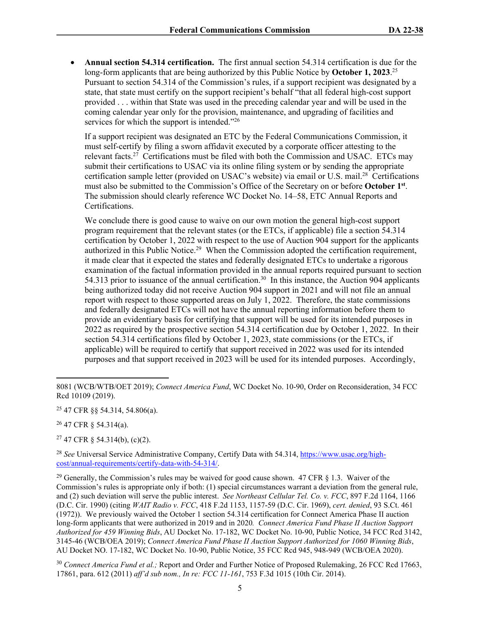**Annual section 54.314 certification.** The first annual section 54.314 certification is due for the long-form applicants that are being authorized by this Public Notice by **October 1, 2023**. 25 Pursuant to section 54.314 of the Commission's rules, if a support recipient was designated by a state, that state must certify on the support recipient's behalf "that all federal high-cost support provided . . . within that State was used in the preceding calendar year and will be used in the coming calendar year only for the provision, maintenance, and upgrading of facilities and services for which the support is intended."26

If a support recipient was designated an ETC by the Federal Communications Commission, it must self-certify by filing a sworn affidavit executed by a corporate officer attesting to the relevant facts.<sup>27</sup> Certifications must be filed with both the Commission and USAC. ETCs may submit their certifications to USAC via its online filing system or by sending the appropriate certification sample letter (provided on USAC's website) via email or U.S. mail.<sup>28</sup> Certifications must also be submitted to the Commission's Office of the Secretary on or before **October 1st** . The submission should clearly reference WC Docket No. 14–58, ETC Annual Reports and Certifications.

We conclude there is good cause to waive on our own motion the general high-cost support program requirement that the relevant states (or the ETCs, if applicable) file a section 54.314 certification by October 1, 2022 with respect to the use of Auction 904 support for the applicants authorized in this Public Notice.<sup>29</sup> When the Commission adopted the certification requirement, it made clear that it expected the states and federally designated ETCs to undertake a rigorous examination of the factual information provided in the annual reports required pursuant to section 54.313 prior to issuance of the annual certification.<sup>30</sup> In this instance, the Auction 904 applicants being authorized today did not receive Auction 904 support in 2021 and will not file an annual report with respect to those supported areas on July 1, 2022. Therefore, the state commissions and federally designated ETCs will not have the annual reporting information before them to provide an evidentiary basis for certifying that support will be used for its intended purposes in 2022 as required by the prospective section 54.314 certification due by October 1, 2022. In their section 54.314 certifications filed by October 1, 2023, state commissions (or the ETCs, if applicable) will be required to certify that support received in 2022 was used for its intended purposes and that support received in 2023 will be used for its intended purposes. Accordingly,

<sup>25</sup> 47 CFR §§ 54.314, 54.806(a).

<sup>26</sup> 47 CFR § 54.314(a).

 $27$  47 CFR § 54.314(b), (c)(2).

<sup>28</sup> *See* Universal Service Administrative Company, Certify Data with 54.314, [https://www.usac.org/high](https://www.usac.org/high-cost/annual-requirements/certify-data-with-54-314/)[cost/annual-requirements/certify-data-with-54-314/](https://www.usac.org/high-cost/annual-requirements/certify-data-with-54-314/).

<sup>29</sup> Generally, the Commission's rules may be waived for good cause shown. 47 CFR  $\S$  1.3. Waiver of the Commission's rules is appropriate only if both: (1) special circumstances warrant a deviation from the general rule, and (2) such deviation will serve the public interest. *See Northeast Cellular Tel. Co. v. FCC*, 897 F.2d 1164, 1166 (D.C. Cir. 1990) (citing *WAIT Radio v. FCC*, 418 F.2d 1153, 1157-59 (D.C. Cir. 1969), *cert. denied*, 93 S.Ct. 461 (1972)). We previously waived the October 1 section 54.314 certification for Connect America Phase II auction long-form applicants that were authorized in 2019 and in 2020*. Connect America Fund Phase II Auction Support Authorized for 459 Winning Bids*, AU Docket No. 17-182, WC Docket No. 10-90, Public Notice, 34 FCC Rcd 3142, 3145-46 (WCB/OEA 2019); *Connect America Fund Phase II Auction Support Authorized for 1060 Winning Bids*, AU Docket NO. 17-182, WC Docket No. 10-90, Public Notice, 35 FCC Rcd 945, 948-949 (WCB/OEA 2020).

<sup>30</sup> *Connect America Fund et al.;* Report and Order and Further Notice of Proposed Rulemaking, 26 FCC Rcd 17663, 17861, para. 612 (2011) *aff'd sub nom., In re: FCC 11-161*, 753 F.3d 1015 (10th Cir. 2014).

<sup>8081 (</sup>WCB/WTB/OET 2019); *Connect America Fund*, WC Docket No. 10-90, Order on Reconsideration, 34 FCC Rcd 10109 (2019).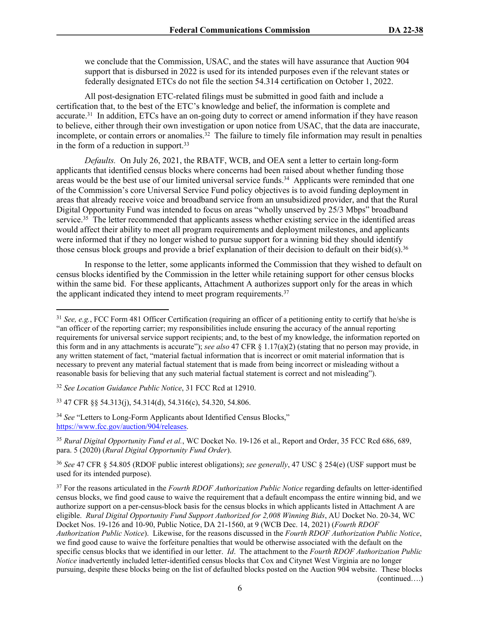we conclude that the Commission, USAC, and the states will have assurance that Auction 904 support that is disbursed in 2022 is used for its intended purposes even if the relevant states or federally designated ETCs do not file the section 54.314 certification on October 1, 2022.

All post-designation ETC-related filings must be submitted in good faith and include a certification that, to the best of the ETC's knowledge and belief, the information is complete and accurate.<sup>31</sup> In addition, ETCs have an on-going duty to correct or amend information if they have reason to believe, either through their own investigation or upon notice from USAC, that the data are inaccurate, incomplete, or contain errors or anomalies.<sup>32</sup> The failure to timely file information may result in penalties in the form of a reduction in support.<sup>33</sup>

*Defaults.* On July 26, 2021, the RBATF, WCB, and OEA sent a letter to certain long-form applicants that identified census blocks where concerns had been raised about whether funding those areas would be the best use of our limited universal service funds.<sup>34</sup> Applicants were reminded that one of the Commission's core Universal Service Fund policy objectives is to avoid funding deployment in areas that already receive voice and broadband service from an unsubsidized provider, and that the Rural Digital Opportunity Fund was intended to focus on areas "wholly unserved by 25/3 Mbps" broadband service.<sup>35</sup> The letter recommended that applicants assess whether existing service in the identified areas would affect their ability to meet all program requirements and deployment milestones, and applicants were informed that if they no longer wished to pursue support for a winning bid they should identify those census block groups and provide a brief explanation of their decision to default on their bid(s).<sup>36</sup>

In response to the letter, some applicants informed the Commission that they wished to default on census blocks identified by the Commission in the letter while retaining support for other census blocks within the same bid. For these applicants, Attachment A authorizes support only for the areas in which the applicant indicated they intend to meet program requirements.<sup>37</sup>

<sup>32</sup> *See Location Guidance Public Notice*, 31 FCC Rcd at 12910.

<sup>33</sup> 47 CFR §§ 54.313(j), 54.314(d), 54.316(c), 54.320, 54.806.

<sup>34</sup> See "Letters to Long-Form Applicants about Identified Census Blocks," <https://www.fcc.gov/auction/904/releases>.

<sup>36</sup> *See* 47 CFR § 54.805 (RDOF public interest obligations); *see generally*, 47 USC § 254(e) (USF support must be used for its intended purpose).

<sup>37</sup> For the reasons articulated in the *Fourth RDOF Authorization Public Notice* regarding defaults on letter-identified census blocks, we find good cause to waive the requirement that a default encompass the entire winning bid, and we authorize support on a per-census-block basis for the census blocks in which applicants listed in Attachment A are eligible. *Rural Digital Opportunity Fund Support Authorized for 2,008 Winning Bids*, AU Docket No. 20-34, WC Docket Nos. 19-126 and 10-90, Public Notice, DA 21-1560, at 9 (WCB Dec. 14, 2021) (*Fourth RDOF Authorization Public Notice*). Likewise, for the reasons discussed in the *Fourth RDOF Authorization Public Notice*, we find good cause to waive the forfeiture penalties that would be otherwise associated with the default on the specific census blocks that we identified in our letter. *Id*. The attachment to the *Fourth RDOF Authorization Public Notice* inadvertently included letter-identified census blocks that Cox and Citynet West Virginia are no longer pursuing, despite these blocks being on the list of defaulted blocks posted on the Auction 904 website. These blocks (continued….)

<sup>31</sup> *See, e.g.*, FCC Form 481 Officer Certification (requiring an officer of a petitioning entity to certify that he/she is "an officer of the reporting carrier; my responsibilities include ensuring the accuracy of the annual reporting requirements for universal service support recipients; and, to the best of my knowledge, the information reported on this form and in any attachments is accurate"); *see also* 47 CFR § 1.17(a)(2) (stating that no person may provide, in any written statement of fact, "material factual information that is incorrect or omit material information that is necessary to prevent any material factual statement that is made from being incorrect or misleading without a reasonable basis for believing that any such material factual statement is correct and not misleading").

<sup>35</sup> *Rural Digital Opportunity Fund et al.*, WC Docket No. 19-126 et al., Report and Order, 35 FCC Rcd 686, 689, para. 5 (2020) (*Rural Digital Opportunity Fund Order*).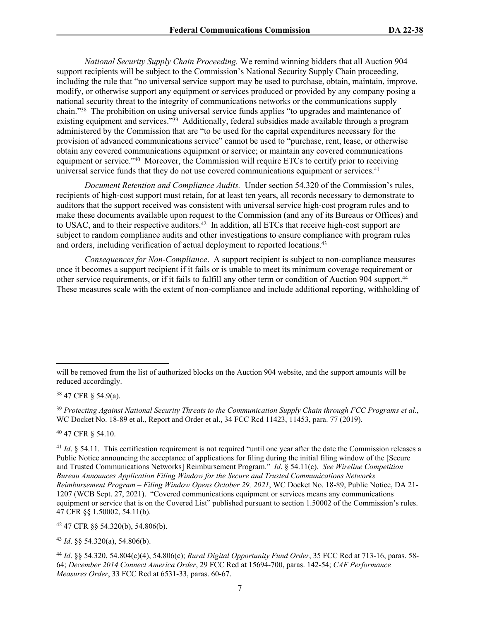*National Security Supply Chain Proceeding.* We remind winning bidders that all Auction 904 support recipients will be subject to the Commission's National Security Supply Chain proceeding, including the rule that "no universal service support may be used to purchase, obtain, maintain, improve, modify, or otherwise support any equipment or services produced or provided by any company posing a national security threat to the integrity of communications networks or the communications supply chain."<sup>38</sup> The prohibition on using universal service funds applies "to upgrades and maintenance of existing equipment and services."<sup>39</sup> Additionally, federal subsidies made available through a program administered by the Commission that are "to be used for the capital expenditures necessary for the provision of advanced communications service" cannot be used to "purchase, rent, lease, or otherwise obtain any covered communications equipment or service; or maintain any covered communications equipment or service."<sup>40</sup> Moreover, the Commission will require ETCs to certify prior to receiving universal service funds that they do not use covered communications equipment or services.<sup>41</sup>

*Document Retention and Compliance Audits.* Under section 54.320 of the Commission's rules, recipients of high-cost support must retain, for at least ten years, all records necessary to demonstrate to auditors that the support received was consistent with universal service high-cost program rules and to make these documents available upon request to the Commission (and any of its Bureaus or Offices) and to USAC, and to their respective auditors.<sup>42</sup> In addition, all ETCs that receive high-cost support are subject to random compliance audits and other investigations to ensure compliance with program rules and orders, including verification of actual deployment to reported locations.<sup>43</sup>

*Consequences for Non-Compliance*. A support recipient is subject to non-compliance measures once it becomes a support recipient if it fails or is unable to meet its minimum coverage requirement or other service requirements, or if it fails to fulfill any other term or condition of Auction 904 support.<sup>44</sup> These measures scale with the extent of non-compliance and include additional reporting, withholding of

<sup>38</sup> 47 CFR § 54.9(a).

<sup>39</sup> *Protecting Against National Security Threats to the Communication Supply Chain through FCC Programs et al.*, WC Docket No. 18-89 et al., Report and Order et al., 34 FCC Rcd 11423, 11453, para. 77 (2019).

<sup>40</sup> 47 CFR § 54.10.

 $42$  47 CFR §§ 54.320(b), 54.806(b).

<sup>43</sup> *Id*. §§ 54.320(a), 54.806(b).

will be removed from the list of authorized blocks on the Auction 904 website, and the support amounts will be reduced accordingly.

<sup>&</sup>lt;sup>41</sup> *Id.* § 54.11. This certification requirement is not required "until one year after the date the Commission releases a Public Notice announcing the acceptance of applications for filing during the initial filing window of the [Secure and Trusted Communications Networks] Reimbursement Program." *Id*. § 54.11(c). *See Wireline Competition Bureau Announces Application Filing Window for the Secure and Trusted Communications Networks Reimbursement Program – Filing Window Opens October 29, 2021*, WC Docket No. 18-89, Public Notice, DA 21- 1207 (WCB Sept. 27, 2021). "Covered communications equipment or services means any communications equipment or service that is on the Covered List" published pursuant to section 1.50002 of the Commission's rules. 47 CFR §§ 1.50002, 54.11(b).

<sup>44</sup> *Id*. §§ 54.320, 54.804(c)(4), 54.806(c); *Rural Digital Opportunity Fund Order*, 35 FCC Rcd at 713-16, paras. 58- 64; *December 2014 Connect America Order*, 29 FCC Rcd at 15694-700, paras. 142-54; *CAF Performance Measures Order*, 33 FCC Rcd at 6531-33, paras. 60-67.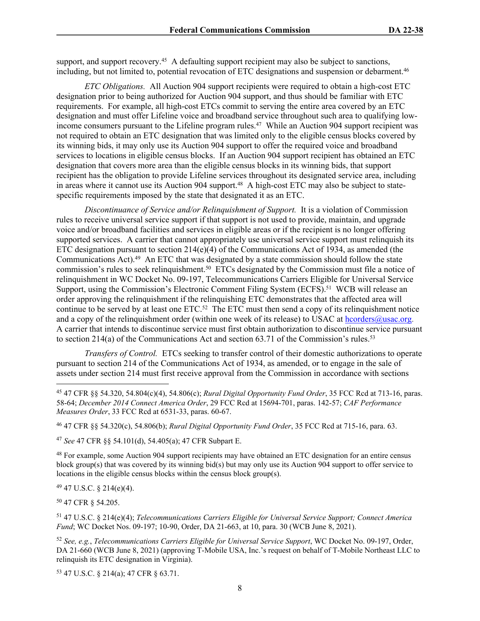support, and support recovery.<sup>45</sup> A defaulting support recipient may also be subject to sanctions, including, but not limited to, potential revocation of ETC designations and suspension or debarment.<sup>46</sup>

*ETC Obligations.* All Auction 904 support recipients were required to obtain a high-cost ETC designation prior to being authorized for Auction 904 support, and thus should be familiar with ETC requirements. For example, all high-cost ETCs commit to serving the entire area covered by an ETC designation and must offer Lifeline voice and broadband service throughout such area to qualifying lowincome consumers pursuant to the Lifeline program rules.<sup>47</sup> While an Auction 904 support recipient was not required to obtain an ETC designation that was limited only to the eligible census blocks covered by its winning bids, it may only use its Auction 904 support to offer the required voice and broadband services to locations in eligible census blocks. If an Auction 904 support recipient has obtained an ETC designation that covers more area than the eligible census blocks in its winning bids, that support recipient has the obligation to provide Lifeline services throughout its designated service area, including in areas where it cannot use its Auction 904 support.<sup>48</sup> A high-cost ETC may also be subject to statespecific requirements imposed by the state that designated it as an ETC.

*Discontinuance of Service and/or Relinquishment of Support.* It is a violation of Commission rules to receive universal service support if that support is not used to provide, maintain, and upgrade voice and/or broadband facilities and services in eligible areas or if the recipient is no longer offering supported services. A carrier that cannot appropriately use universal service support must relinquish its ETC designation pursuant to section 214(e)(4) of the Communications Act of 1934, as amended (the Communications Act).<sup>49</sup> An ETC that was designated by a state commission should follow the state commission's rules to seek relinquishment.<sup>50</sup> ETCs designated by the Commission must file a notice of relinquishment in WC Docket No. 09-197, Telecommunications Carriers Eligible for Universal Service Support, using the Commission's Electronic Comment Filing System (ECFS).<sup>51</sup> WCB will release an order approving the relinquishment if the relinquishing ETC demonstrates that the affected area will continue to be served by at least one ETC.<sup>52</sup> The ETC must then send a copy of its relinquishment notice and a copy of the relinquishment order (within one week of its release) to USAC at [hcorders@usac.org](mailto:hcorders@usac.org). A carrier that intends to discontinue service must first obtain authorization to discontinue service pursuant to section  $214(a)$  of the Communications Act and section 63.71 of the Commission's rules.<sup>53</sup>

*Transfers of Control.* ETCs seeking to transfer control of their domestic authorizations to operate pursuant to section 214 of the Communications Act of 1934, as amended, or to engage in the sale of assets under section 214 must first receive approval from the Commission in accordance with sections

<sup>46</sup> 47 CFR §§ 54.320(c), 54.806(b); *Rural Digital Opportunity Fund Order*, 35 FCC Rcd at 715-16, para. 63.

<sup>47</sup> *See* 47 CFR §§ 54.101(d), 54.405(a); 47 CFR Subpart E.

<sup>48</sup> For example, some Auction 904 support recipients may have obtained an ETC designation for an entire census block group(s) that was covered by its winning bid(s) but may only use its Auction 904 support to offer service to locations in the eligible census blocks within the census block group(s).

<sup>49</sup> 47 U.S.C. § 214(e)(4).

<sup>50</sup> 47 CFR § 54.205.

<sup>51</sup> 47 U.S.C. § 214(e)(4); *Telecommunications Carriers Eligible for Universal Service Support; Connect America Fund*; WC Docket Nos. 09-197; 10-90, Order, DA 21-663, at 10, para. 30 (WCB June 8, 2021).

<sup>52</sup> *See, e.g.*, *Telecommunications Carriers Eligible for Universal Service Support*, WC Docket No. 09-197, Order, DA 21-660 (WCB June 8, 2021) (approving T-Mobile USA, Inc.'s request on behalf of T-Mobile Northeast LLC to relinquish its ETC designation in Virginia).

53 47 U.S.C. § 214(a); 47 CFR § 63.71.

<sup>45</sup> 47 CFR §§ 54.320, 54.804(c)(4), 54.806(c); *Rural Digital Opportunity Fund Order*, 35 FCC Rcd at 713-16, paras. 58-64; *December 2014 Connect America Order*, 29 FCC Rcd at 15694-701, paras. 142-57; *CAF Performance Measures Order*, 33 FCC Rcd at 6531-33, paras. 60-67.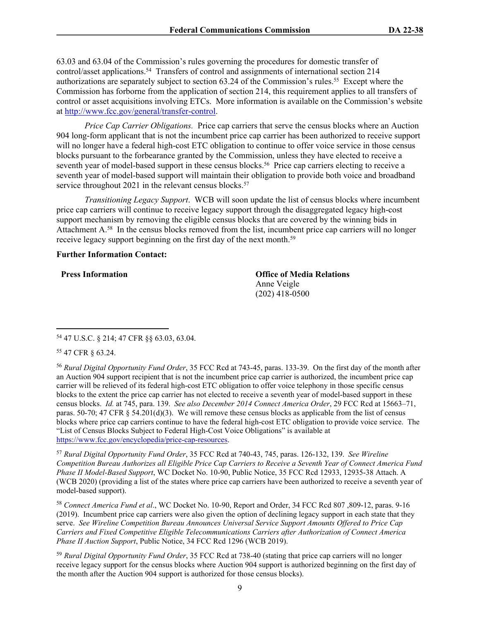63.03 and 63.04 of the Commission's rules governing the procedures for domestic transfer of control/asset applications.<sup>54</sup> Transfers of control and assignments of international section 214 authorizations are separately subject to section 63.24 of the Commission's rules.<sup>55</sup> Except where the Commission has forborne from the application of section 214, this requirement applies to all transfers of control or asset acquisitions involving ETCs. More information is available on the Commission's website at <http://www.fcc.gov/general/transfer-control>.

*Price Cap Carrier Obligations.* Price cap carriers that serve the census blocks where an Auction 904 long-form applicant that is not the incumbent price cap carrier has been authorized to receive support will no longer have a federal high-cost ETC obligation to continue to offer voice service in those census blocks pursuant to the forbearance granted by the Commission, unless they have elected to receive a seventh year of model-based support in these census blocks.<sup>56</sup> Price cap carriers electing to receive a seventh year of model-based support will maintain their obligation to provide both voice and broadband service throughout 2021 in the relevant census blocks.<sup>57</sup>

*Transitioning Legacy Support*. WCB will soon update the list of census blocks where incumbent price cap carriers will continue to receive legacy support through the disaggregated legacy high-cost support mechanism by removing the eligible census blocks that are covered by the winning bids in Attachment A.<sup>58</sup> In the census blocks removed from the list, incumbent price cap carriers will no longer receive legacy support beginning on the first day of the next month.<sup>59</sup>

### **Further Information Contact:**

**Press Information Office of Media Relations** Anne Veigle (202) 418-0500

<sup>54</sup> 47 U.S.C. § 214; 47 CFR §§ 63.03, 63.04.

<sup>55</sup> 47 CFR § 63.24.

<sup>56</sup> *Rural Digital Opportunity Fund Order*, 35 FCC Rcd at 743-45, paras. 133-39. On the first day of the month after an Auction 904 support recipient that is not the incumbent price cap carrier is authorized, the incumbent price cap carrier will be relieved of its federal high-cost ETC obligation to offer voice telephony in those specific census blocks to the extent the price cap carrier has not elected to receive a seventh year of model-based support in these census blocks. *Id.* at 745, para. 139. *See also December 2014 Connect America Order*, 29 FCC Rcd at 15663–71, paras. 50-70; 47 CFR  $\S$  54.201(d)(3). We will remove these census blocks as applicable from the list of census blocks where price cap carriers continue to have the federal high-cost ETC obligation to provide voice service. The "List of Census Blocks Subject to Federal High-Cost Voice Obligations" is available at <https://www.fcc.gov/encyclopedia/price-cap-resources>.

<sup>57</sup> *Rural Digital Opportunity Fund Order*, 35 FCC Rcd at 740-43, 745, paras. 126-132, 139. *See Wireline Competition Bureau Authorizes all Eligible Price Cap Carriers to Receive a Seventh Year of Connect America Fund Phase II Model-Based Support*, WC Docket No. 10-90, Public Notice, 35 FCC Rcd 12933, 12935-38 Attach. A (WCB 2020) (providing a list of the states where price cap carriers have been authorized to receive a seventh year of model-based support).

<sup>58</sup> *Connect America Fund et al*., WC Docket No. 10-90, Report and Order, 34 FCC Rcd 807 ,809-12, paras. 9-16 (2019). Incumbent price cap carriers were also given the option of declining legacy support in each state that they serve. *See Wireline Competition Bureau Announces Universal Service Support Amounts Offered to Price Cap Carriers and Fixed Competitive Eligible Telecommunications Carriers after Authorization of Connect America Phase II Auction Support*, Public Notice, 34 FCC Rcd 1296 (WCB 2019).

<sup>59</sup> *Rural Digital Opportunity Fund Order*, 35 FCC Rcd at 738-40 (stating that price cap carriers will no longer receive legacy support for the census blocks where Auction 904 support is authorized beginning on the first day of the month after the Auction 904 support is authorized for those census blocks).